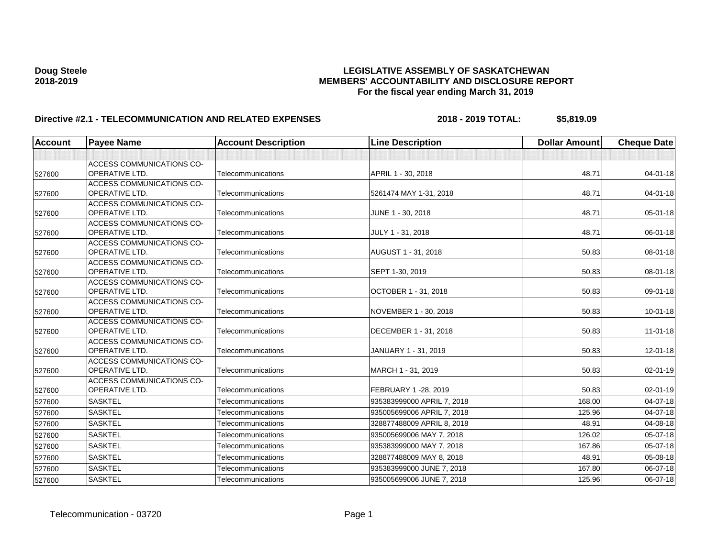| <b>Account</b> | <b>Payee Name</b>                                         | <b>Account Description</b> | <b>Line Description</b>    | <b>Dollar Amount</b> | <b>Cheque Date</b> |
|----------------|-----------------------------------------------------------|----------------------------|----------------------------|----------------------|--------------------|
|                |                                                           |                            |                            |                      |                    |
| 527600         | <b>ACCESS COMMUNICATIONS CO-</b><br><b>OPERATIVE LTD.</b> | Telecommunications         | APRIL 1 - 30, 2018         | 48.71                | $04 - 01 - 18$     |
| 527600         | <b>ACCESS COMMUNICATIONS CO-</b><br><b>OPERATIVE LTD.</b> | Telecommunications         | 5261474 MAY 1-31, 2018     | 48.71                | $04 - 01 - 18$     |
| 527600         | <b>ACCESS COMMUNICATIONS CO-</b><br><b>OPERATIVE LTD.</b> | Telecommunications         | JUNE 1 - 30, 2018          | 48.71                | $05 - 01 - 18$     |
| 527600         | <b>ACCESS COMMUNICATIONS CO-</b><br><b>OPERATIVE LTD.</b> | Telecommunications         | JULY 1 - 31, 2018          | 48.71                | 06-01-18           |
| 527600         | <b>ACCESS COMMUNICATIONS CO-</b><br><b>OPERATIVE LTD.</b> | Telecommunications         | AUGUST 1 - 31, 2018        | 50.83                | 08-01-18           |
| 527600         | <b>ACCESS COMMUNICATIONS CO-</b><br><b>OPERATIVE LTD.</b> | Telecommunications         | SEPT 1-30, 2019            | 50.83                | 08-01-18           |
| 527600         | <b>ACCESS COMMUNICATIONS CO-</b><br><b>OPERATIVE LTD.</b> | Telecommunications         | OCTOBER 1 - 31, 2018       | 50.83                | 09-01-18           |
| 527600         | <b>ACCESS COMMUNICATIONS CO-</b><br><b>OPERATIVE LTD.</b> | Telecommunications         | NOVEMBER 1 - 30, 2018      | 50.83                | $10 - 01 - 18$     |
| 527600         | ACCESS COMMUNICATIONS CO-<br><b>OPERATIVE LTD.</b>        | Telecommunications         | DECEMBER 1 - 31, 2018      | 50.83                | $11 - 01 - 18$     |
| 527600         | <b>ACCESS COMMUNICATIONS CO-</b><br><b>OPERATIVE LTD.</b> | Telecommunications         | JANUARY 1 - 31, 2019       | 50.83                | 12-01-18           |
| 527600         | <b>ACCESS COMMUNICATIONS CO-</b><br><b>OPERATIVE LTD.</b> | Telecommunications         | MARCH 1 - 31, 2019         | 50.83                | $02 - 01 - 19$     |
| 527600         | <b>ACCESS COMMUNICATIONS CO-</b><br>OPERATIVE LTD.        | Telecommunications         | FEBRUARY 1 -28, 2019       | 50.83                | 02-01-19           |
| 527600         | <b>SASKTEL</b>                                            | Telecommunications         | 935383999000 APRIL 7, 2018 | 168.00               | 04-07-18           |
| 527600         | <b>SASKTEL</b>                                            | Telecommunications         | 935005699006 APRIL 7, 2018 | 125.96               | $04 - 07 - 18$     |
| 527600         | <b>SASKTEL</b>                                            | Telecommunications         | 328877488009 APRIL 8, 2018 | 48.91                | 04-08-18           |
| 527600         | <b>SASKTEL</b>                                            | Telecommunications         | 935005699006 MAY 7, 2018   | 126.02               | 05-07-18           |
| 527600         | <b>SASKTEL</b>                                            | Telecommunications         | 935383999000 MAY 7, 2018   | 167.86               | 05-07-18           |
| 527600         | <b>SASKTEL</b>                                            | Telecommunications         | 328877488009 MAY 8, 2018   | 48.91                | 05-08-18           |
| 527600         | <b>SASKTEL</b>                                            | Telecommunications         | 935383999000 JUNE 7, 2018  | 167.80               | 06-07-18           |
| 527600         | <b>SASKTEL</b>                                            | Telecommunications         | 935005699006 JUNE 7, 2018  | 125.96               | 06-07-18           |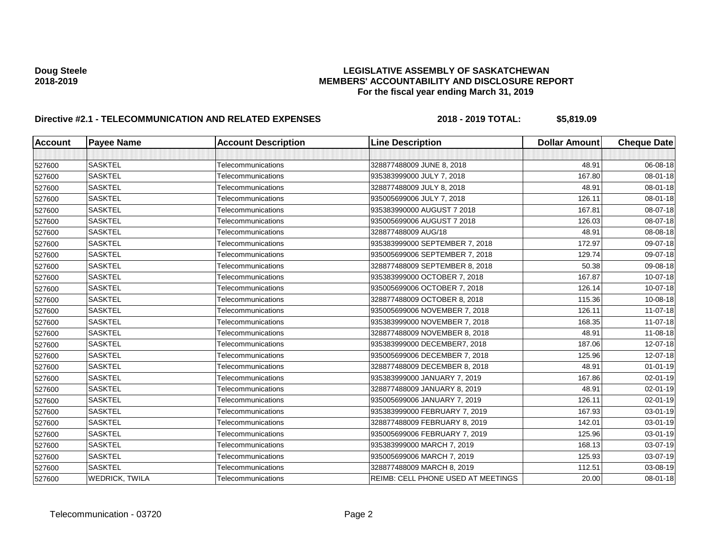| <b>Account</b> | <b>Payee Name</b> | <b>Account Description</b> | <b>Line Description</b>            | <b>Dollar Amount</b> | <b>Cheque Date</b> |
|----------------|-------------------|----------------------------|------------------------------------|----------------------|--------------------|
|                |                   |                            |                                    |                      |                    |
| 527600         | <b>SASKTEL</b>    | Telecommunications         | 328877488009 JUNE 8, 2018          | 48.91                | 06-08-18           |
| 527600         | <b>SASKTEL</b>    | Telecommunications         | 935383999000 JULY 7, 2018          | 167.80               | 08-01-18           |
| 527600         | <b>SASKTEL</b>    | Telecommunications         | 328877488009 JULY 8, 2018          | 48.91                | 08-01-18           |
| 527600         | SASKTEL           | Telecommunications         | 935005699006 JULY 7, 2018          | 126.11               | 08-01-18           |
| 527600         | <b>SASKTEL</b>    | Telecommunications         | 935383990000 AUGUST 7 2018         | 167.81               | 08-07-18           |
| 527600         | <b>SASKTEL</b>    | Telecommunications         | 935005699006 AUGUST 7 2018         | 126.03               | 08-07-18           |
| 527600         | <b>SASKTEL</b>    | Telecommunications         | 328877488009 AUG/18                | 48.91                | 08-08-18           |
| 527600         | <b>SASKTEL</b>    | Telecommunications         | 935383999000 SEPTEMBER 7, 2018     | 172.97               | 09-07-18           |
| 527600         | <b>SASKTEL</b>    | Telecommunications         | 935005699006 SEPTEMBER 7, 2018     | 129.74               | 09-07-18           |
| 527600         | <b>SASKTEL</b>    | Telecommunications         | 328877488009 SEPTEMBER 8, 2018     | 50.38                | 09-08-18           |
| 527600         | <b>SASKTEL</b>    | Telecommunications         | 935383999000 OCTOBER 7, 2018       | 167.87               | 10-07-18           |
| 527600         | <b>SASKTEL</b>    | Telecommunications         | 935005699006 OCTOBER 7, 2018       | 126.14               | 10-07-18           |
| 527600         | <b>SASKTEL</b>    | Telecommunications         | 328877488009 OCTOBER 8, 2018       | 115.36               | 10-08-18           |
| 527600         | <b>SASKTEL</b>    | Telecommunications         | 935005699006 NOVEMBER 7, 2018      | 126.11               | 11-07-18           |
| 527600         | <b>SASKTEL</b>    | Telecommunications         | 935383999000 NOVEMBER 7, 2018      | 168.35               | 11-07-18           |
| 527600         | <b>SASKTEL</b>    | Telecommunications         | 328877488009 NOVEMBER 8, 2018      | 48.91                | 11-08-18           |
| 527600         | <b>SASKTEL</b>    | Telecommunications         | 935383999000 DECEMBER7, 2018       | 187.06               | 12-07-18           |
| 527600         | <b>SASKTEL</b>    | Telecommunications         | 935005699006 DECEMBER 7, 2018      | 125.96               | 12-07-18           |
| 527600         | <b>SASKTEL</b>    | Telecommunications         | 328877488009 DECEMBER 8, 2018      | 48.91                | $01 - 01 - 19$     |
| 527600         | <b>SASKTEL</b>    | Telecommunications         | 935383999000 JANUARY 7, 2019       | 167.86               | 02-01-19           |
| 527600         | <b>SASKTEL</b>    | Telecommunications         | 328877488009 JANUARY 8, 2019       | 48.91                | 02-01-19           |
| 527600         | <b>SASKTEL</b>    | Telecommunications         | 935005699006 JANUARY 7, 2019       | 126.11               | 02-01-19           |
| 527600         | <b>SASKTEL</b>    | Telecommunications         | 935383999000 FEBRUARY 7, 2019      | 167.93               | 03-01-19           |
| 527600         | <b>SASKTEL</b>    | Telecommunications         | 328877488009 FEBRUARY 8, 2019      | 142.01               | 03-01-19           |
| 527600         | <b>SASKTEL</b>    | Telecommunications         | 935005699006 FEBRUARY 7, 2019      | 125.96               | 03-01-19           |
| 527600         | <b>SASKTEL</b>    | Telecommunications         | 935383999000 MARCH 7, 2019         | 168.13               | 03-07-19           |
| 527600         | <b>SASKTEL</b>    | Telecommunications         | 935005699006 MARCH 7, 2019         | 125.93               | 03-07-19           |
| 527600         | <b>SASKTEL</b>    | Telecommunications         | 328877488009 MARCH 8, 2019         | 112.51               | 03-08-19           |
| 527600         | WEDRICK, TWILA    | Telecommunications         | REIMB: CELL PHONE USED AT MEETINGS | 20.00                | 08-01-18           |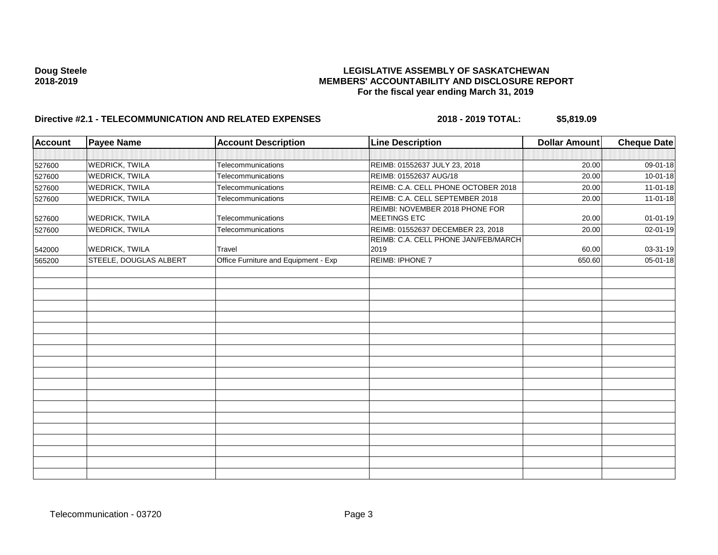| <b>Account</b> | <b>Payee Name</b>      | <b>Account Description</b>           | <b>Line Description</b>                         | <b>Dollar Amount</b> | <b>Cheque Date</b> |
|----------------|------------------------|--------------------------------------|-------------------------------------------------|----------------------|--------------------|
|                |                        |                                      |                                                 |                      |                    |
| 527600         | <b>WEDRICK, TWILA</b>  | Telecommunications                   | REIMB: 01552637 JULY 23, 2018                   | 20.00                | 09-01-18           |
| 527600         | <b>WEDRICK, TWILA</b>  | Telecommunications                   | REIMB: 01552637 AUG/18                          | 20.00                | $10 - 01 - 18$     |
| 527600         | <b>WEDRICK, TWILA</b>  | Telecommunications                   | REIMB: C.A. CELL PHONE OCTOBER 2018             | 20.00                | 11-01-18           |
| 527600         | <b>WEDRICK, TWILA</b>  | Telecommunications                   | REIMB: C.A. CELL SEPTEMBER 2018                 | 20.00                | $11-01-18$         |
| 527600         | <b>WEDRICK, TWILA</b>  | Telecommunications                   | REIMBI: NOVEMBER 2018 PHONE FOR<br>MEETINGS ETC | 20.00                | $01 - 01 - 19$     |
| 527600         | <b>WEDRICK, TWILA</b>  | Telecommunications                   | REIMB: 01552637 DECEMBER 23, 2018               | 20.00                | 02-01-19           |
| 542000         | <b>WEDRICK, TWILA</b>  | Travel                               | REIMB: C.A. CELL PHONE JAN/FEB/MARCH<br>2019    | 60.00                | 03-31-19           |
| 565200         | STEELE, DOUGLAS ALBERT | Office Furniture and Equipment - Exp | REIMB: IPHONE 7                                 | 650.60               | 05-01-18           |
|                |                        |                                      |                                                 |                      |                    |
|                |                        |                                      |                                                 |                      |                    |
|                |                        |                                      |                                                 |                      |                    |
|                |                        |                                      |                                                 |                      |                    |
|                |                        |                                      |                                                 |                      |                    |
|                |                        |                                      |                                                 |                      |                    |
|                |                        |                                      |                                                 |                      |                    |
|                |                        |                                      |                                                 |                      |                    |
|                |                        |                                      |                                                 |                      |                    |
|                |                        |                                      |                                                 |                      |                    |
|                |                        |                                      |                                                 |                      |                    |
|                |                        |                                      |                                                 |                      |                    |
|                |                        |                                      |                                                 |                      |                    |
|                |                        |                                      |                                                 |                      |                    |
|                |                        |                                      |                                                 |                      |                    |
|                |                        |                                      |                                                 |                      |                    |
|                |                        |                                      |                                                 |                      |                    |
|                |                        |                                      |                                                 |                      |                    |
|                |                        |                                      |                                                 |                      |                    |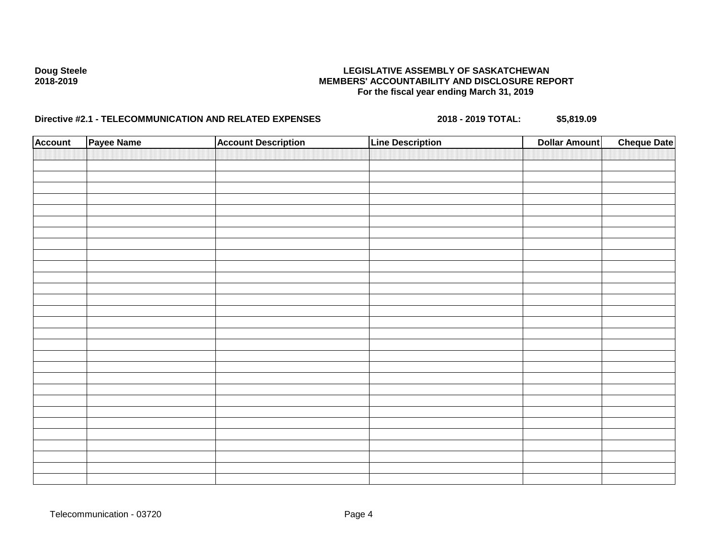| <b>Account</b> | Payee Name | <b>Account Description</b> | <b>Line Description</b> | <b>Dollar Amount</b> | <b>Cheque Date</b> |
|----------------|------------|----------------------------|-------------------------|----------------------|--------------------|
|                |            |                            |                         |                      |                    |
|                |            |                            |                         |                      |                    |
|                |            |                            |                         |                      |                    |
|                |            |                            |                         |                      |                    |
|                |            |                            |                         |                      |                    |
|                |            |                            |                         |                      |                    |
|                |            |                            |                         |                      |                    |
|                |            |                            |                         |                      |                    |
|                |            |                            |                         |                      |                    |
|                |            |                            |                         |                      |                    |
|                |            |                            |                         |                      |                    |
|                |            |                            |                         |                      |                    |
|                |            |                            |                         |                      |                    |
|                |            |                            |                         |                      |                    |
|                |            |                            |                         |                      |                    |
|                |            |                            |                         |                      |                    |
|                |            |                            |                         |                      |                    |
|                |            |                            |                         |                      |                    |
|                |            |                            |                         |                      |                    |
|                |            |                            |                         |                      |                    |
|                |            |                            |                         |                      |                    |
|                |            |                            |                         |                      |                    |
|                |            |                            |                         |                      |                    |
|                |            |                            |                         |                      |                    |
|                |            |                            |                         |                      |                    |
|                |            |                            |                         |                      |                    |
|                |            |                            |                         |                      |                    |
|                |            |                            |                         |                      |                    |
|                |            |                            |                         |                      |                    |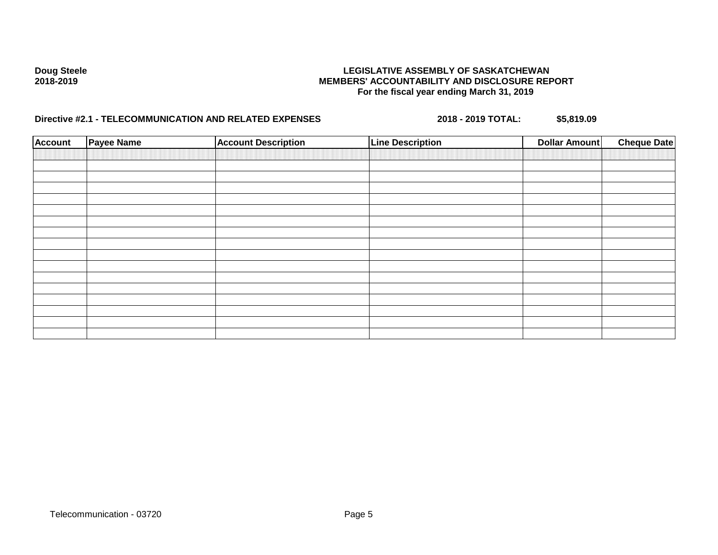| <b>Account</b> | <b>Payee Name</b> | <b>Account Description</b> | <b>Line Description</b> | <b>Dollar Amount</b> | <b>Cheque Date</b> |
|----------------|-------------------|----------------------------|-------------------------|----------------------|--------------------|
|                |                   |                            |                         |                      |                    |
|                |                   |                            |                         |                      |                    |
|                |                   |                            |                         |                      |                    |
|                |                   |                            |                         |                      |                    |
|                |                   |                            |                         |                      |                    |
|                |                   |                            |                         |                      |                    |
|                |                   |                            |                         |                      |                    |
|                |                   |                            |                         |                      |                    |
|                |                   |                            |                         |                      |                    |
|                |                   |                            |                         |                      |                    |
|                |                   |                            |                         |                      |                    |
|                |                   |                            |                         |                      |                    |
|                |                   |                            |                         |                      |                    |
|                |                   |                            |                         |                      |                    |
|                |                   |                            |                         |                      |                    |
|                |                   |                            |                         |                      |                    |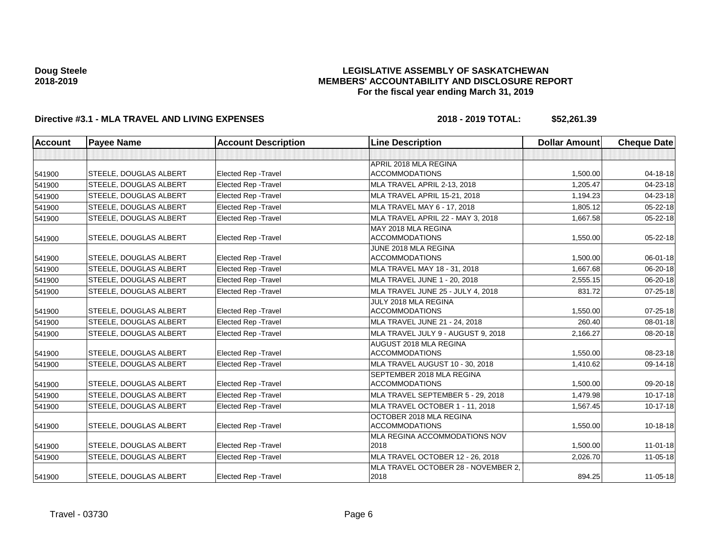## **LEGISLATIVE ASSEMBLY OF SASKATCHEWAN MEMBERS' ACCOUNTABILITY AND DISCLOSURE REPORT For the fiscal year ending March 31, 2019**

| <b>Account</b> | <b>Payee Name</b>             | <b>Account Description</b>  | <b>Line Description</b>                            | <b>Dollar Amount</b> | <b>Cheque Date</b> |
|----------------|-------------------------------|-----------------------------|----------------------------------------------------|----------------------|--------------------|
|                |                               |                             |                                                    |                      |                    |
|                |                               |                             | APRIL 2018 MLA REGINA                              |                      |                    |
| 541900         | <b>STEELE, DOUGLAS ALBERT</b> | <b>Elected Rep - Travel</b> | <b>ACCOMMODATIONS</b>                              | 1,500.00             | 04-18-18           |
| 541900         | STEELE, DOUGLAS ALBERT        | Elected Rep - Travel        | MLA TRAVEL APRIL 2-13, 2018                        | 1,205.47             | 04-23-18           |
| 541900         | <b>STEELE, DOUGLAS ALBERT</b> | <b>Elected Rep - Travel</b> | MLA TRAVEL APRIL 15-21, 2018                       | 1,194.23             | 04-23-18           |
| 541900         | <b>STEELE, DOUGLAS ALBERT</b> | <b>Elected Rep - Travel</b> | MLA TRAVEL MAY 6 - 17, 2018                        | 1,805.12             | $05 - 22 - 18$     |
| 541900         | <b>STEELE, DOUGLAS ALBERT</b> | <b>Elected Rep - Travel</b> | MLA TRAVEL APRIL 22 - MAY 3, 2018                  | 1,667.58             | 05-22-18           |
| 541900         | STEELE, DOUGLAS ALBERT        | Elected Rep - Travel        | MAY 2018 MLA REGINA<br><b>ACCOMMODATIONS</b>       | 1,550.00             | 05-22-18           |
| 541900         | STEELE, DOUGLAS ALBERT        | <b>Elected Rep - Travel</b> | JUNE 2018 MLA REGINA<br><b>ACCOMMODATIONS</b>      | 1,500.00             | 06-01-18           |
| 541900         | STEELE, DOUGLAS ALBERT        | <b>Elected Rep - Travel</b> | MLA TRAVEL MAY 18 - 31, 2018                       | 1,667.68             | 06-20-18           |
| 541900         | <b>STEELE, DOUGLAS ALBERT</b> | Elected Rep - Travel        | MLA TRAVEL JUNE 1 - 20, 2018                       | 2.555.15             | 06-20-18           |
| 541900         | STEELE, DOUGLAS ALBERT        | Elected Rep - Travel        | MLA TRAVEL JUNE 25 - JULY 4, 2018                  | 831.72               | $07 - 25 - 18$     |
| 541900         | <b>STEELE, DOUGLAS ALBERT</b> | <b>Elected Rep - Travel</b> | JULY 2018 MLA REGINA<br><b>ACCOMMODATIONS</b>      | 1,550.00             | $07 - 25 - 18$     |
| 541900         | <b>STEELE, DOUGLAS ALBERT</b> | <b>Elected Rep - Travel</b> | MLA TRAVEL JUNE 21 - 24, 2018                      | 260.40               | 08-01-18           |
| 541900         | <b>STEELE, DOUGLAS ALBERT</b> | Elected Rep - Travel        | MLA TRAVEL JULY 9 - AUGUST 9, 2018                 | 2,166.27             | 08-20-18           |
| 541900         | STEELE, DOUGLAS ALBERT        | <b>Elected Rep - Travel</b> | AUGUST 2018 MLA REGINA<br><b>ACCOMMODATIONS</b>    | 1,550.00             | 08-23-18           |
| 541900         | <b>STEELE, DOUGLAS ALBERT</b> | <b>Elected Rep - Travel</b> | MLA TRAVEL AUGUST 10 - 30, 2018                    | 1,410.62             | 09-14-18           |
| 541900         | STEELE, DOUGLAS ALBERT        | <b>Elected Rep - Travel</b> | SEPTEMBER 2018 MLA REGINA<br><b>ACCOMMODATIONS</b> | 1,500.00             | 09-20-18           |
| 541900         | <b>STEELE, DOUGLAS ALBERT</b> | <b>Elected Rep - Travel</b> | MLA TRAVEL SEPTEMBER 5 - 29, 2018                  | 1,479.98             | $10-17-18$         |
| 541900         | STEELE, DOUGLAS ALBERT        | Elected Rep - Travel        | MLA TRAVEL OCTOBER 1 - 11, 2018                    | 1,567.45             | 10-17-18           |
| 541900         | STEELE, DOUGLAS ALBERT        | Elected Rep - Travel        | OCTOBER 2018 MLA REGINA<br><b>ACCOMMODATIONS</b>   | 1,550.00             | $10 - 18 - 18$     |
| 541900         | STEELE, DOUGLAS ALBERT        | <b>Elected Rep - Travel</b> | MLA REGINA ACCOMMODATIONS NOV<br>2018              | 1,500.00             | $11 - 01 - 18$     |
| 541900         | <b>STEELE, DOUGLAS ALBERT</b> | <b>Elected Rep - Travel</b> | MLA TRAVEL OCTOBER 12 - 26, 2018                   | 2,026.70             | $11 - 05 - 18$     |
| 541900         | STEELE, DOUGLAS ALBERT        | <b>Elected Rep - Travel</b> | MLA TRAVEL OCTOBER 28 - NOVEMBER 2.<br>2018        | 894.25               | $11 - 05 - 18$     |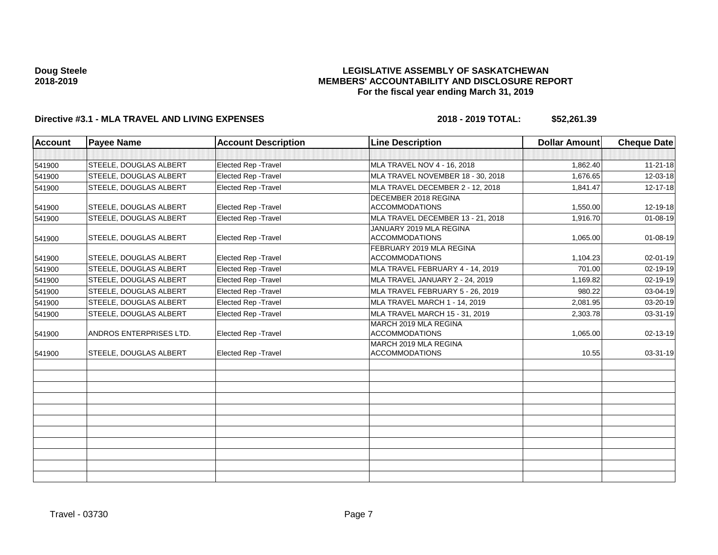## **LEGISLATIVE ASSEMBLY OF SASKATCHEWAN MEMBERS' ACCOUNTABILITY AND DISCLOSURE REPORT For the fiscal year ending March 31, 2019**

| <b>Account</b> | <b>Payee Name</b>             | <b>Account Description</b>  | <b>Line Description</b>                           | <b>Dollar Amount</b> | <b>Cheque Date</b> |
|----------------|-------------------------------|-----------------------------|---------------------------------------------------|----------------------|--------------------|
|                |                               |                             |                                                   |                      |                    |
| 541900         | <b>STEELE, DOUGLAS ALBERT</b> | Elected Rep - Travel        | MLA TRAVEL NOV 4 - 16, 2018                       | 1,862.40             | $11 - 21 - 18$     |
| 541900         | <b>STEELE, DOUGLAS ALBERT</b> | <b>Elected Rep - Travel</b> | MLA TRAVEL NOVEMBER 18 - 30, 2018                 | 1,676.65             | 12-03-18           |
| 541900         | STEELE, DOUGLAS ALBERT        | Elected Rep - Travel        | MLA TRAVEL DECEMBER 2 - 12, 2018                  | 1,841.47             | 12-17-18           |
| 541900         | <b>STEELE, DOUGLAS ALBERT</b> | <b>Elected Rep - Travel</b> | DECEMBER 2018 REGINA<br><b>ACCOMMODATIONS</b>     | 1,550.00             | 12-19-18           |
| 541900         | <b>STEELE, DOUGLAS ALBERT</b> | Elected Rep - Travel        | MLA TRAVEL DECEMBER 13 - 21, 2018                 | 1,916.70             | $01 - 08 - 19$     |
| 541900         | <b>STEELE, DOUGLAS ALBERT</b> | Elected Rep - Travel        | JANUARY 2019 MLA REGINA<br><b>ACCOMMODATIONS</b>  | 1,065.00             | $01 - 08 - 19$     |
| 541900         | <b>STEELE, DOUGLAS ALBERT</b> | <b>Elected Rep - Travel</b> | FEBRUARY 2019 MLA REGINA<br><b>ACCOMMODATIONS</b> | 1,104.23             | $02 - 01 - 19$     |
| 541900         | <b>STEELE, DOUGLAS ALBERT</b> | <b>Elected Rep - Travel</b> | MLA TRAVEL FEBRUARY 4 - 14, 2019                  | 701.00               | 02-19-19           |
| 541900         | <b>STEELE, DOUGLAS ALBERT</b> | Elected Rep - Travel        | MLA TRAVEL JANUARY 2 - 24, 2019                   | 1,169.82             | 02-19-19           |
| 541900         | <b>STEELE, DOUGLAS ALBERT</b> | <b>Elected Rep - Travel</b> | MLA TRAVEL FEBRUARY 5 - 26, 2019                  | 980.22               | 03-04-19           |
| 541900         | <b>STEELE, DOUGLAS ALBERT</b> | Elected Rep - Travel        | MLA TRAVEL MARCH 1 - 14, 2019                     | 2,081.95             | 03-20-19           |
| 541900         | <b>STEELE, DOUGLAS ALBERT</b> | <b>Elected Rep - Travel</b> | MLA TRAVEL MARCH 15 - 31, 2019                    | 2,303.78             | 03-31-19           |
| 541900         | ANDROS ENTERPRISES LTD.       | Elected Rep - Travel        | MARCH 2019 MLA REGINA<br><b>ACCOMMODATIONS</b>    | 1,065.00             | $02 - 13 - 19$     |
| 541900         | <b>STEELE, DOUGLAS ALBERT</b> | Elected Rep - Travel        | MARCH 2019 MLA REGINA<br><b>ACCOMMODATIONS</b>    | 10.55                | $03-31-19$         |
|                |                               |                             |                                                   |                      |                    |
|                |                               |                             |                                                   |                      |                    |
|                |                               |                             |                                                   |                      |                    |
|                |                               |                             |                                                   |                      |                    |
|                |                               |                             |                                                   |                      |                    |
|                |                               |                             |                                                   |                      |                    |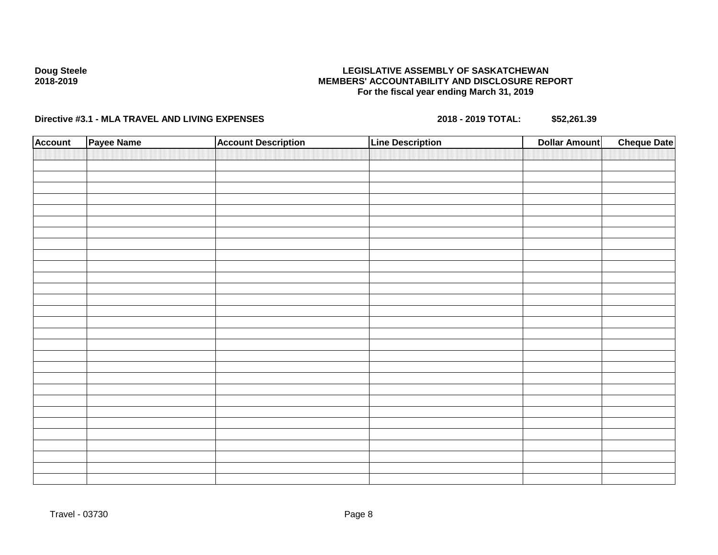## **LEGISLATIVE ASSEMBLY OF SASKATCHEWAN MEMBERS' ACCOUNTABILITY AND DISCLOSURE REPORT For the fiscal year ending March 31, 2019**

| <b>Account</b> | Payee Name | <b>Account Description</b> | <b>Line Description</b> | <b>Dollar Amount</b> | <b>Cheque Date</b> |
|----------------|------------|----------------------------|-------------------------|----------------------|--------------------|
|                |            |                            |                         |                      |                    |
|                |            |                            |                         |                      |                    |
|                |            |                            |                         |                      |                    |
|                |            |                            |                         |                      |                    |
|                |            |                            |                         |                      |                    |
|                |            |                            |                         |                      |                    |
|                |            |                            |                         |                      |                    |
|                |            |                            |                         |                      |                    |
|                |            |                            |                         |                      |                    |
|                |            |                            |                         |                      |                    |
|                |            |                            |                         |                      |                    |
|                |            |                            |                         |                      |                    |
|                |            |                            |                         |                      |                    |
|                |            |                            |                         |                      |                    |
|                |            |                            |                         |                      |                    |
|                |            |                            |                         |                      |                    |
|                |            |                            |                         |                      |                    |
|                |            |                            |                         |                      |                    |
|                |            |                            |                         |                      |                    |
|                |            |                            |                         |                      |                    |
|                |            |                            |                         |                      |                    |
|                |            |                            |                         |                      |                    |
|                |            |                            |                         |                      |                    |
|                |            |                            |                         |                      |                    |
|                |            |                            |                         |                      |                    |
|                |            |                            |                         |                      |                    |
|                |            |                            |                         |                      |                    |
|                |            |                            |                         |                      |                    |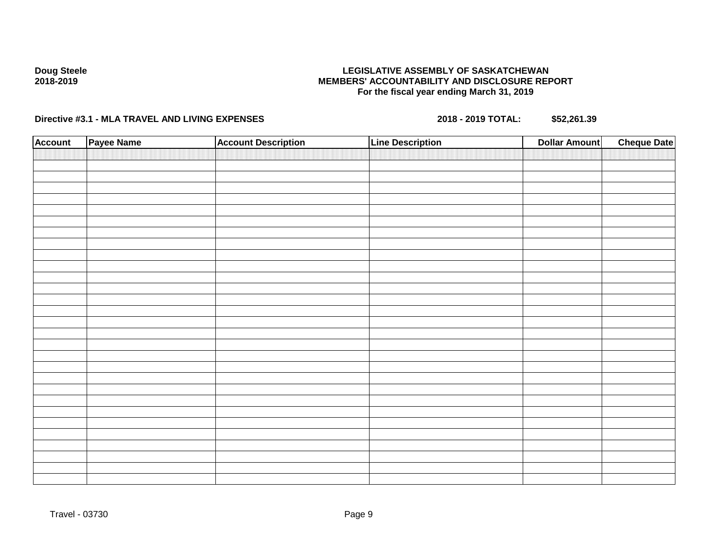## **LEGISLATIVE ASSEMBLY OF SASKATCHEWAN MEMBERS' ACCOUNTABILITY AND DISCLOSURE REPORT For the fiscal year ending March 31, 2019**

| <b>Account</b> | Payee Name | <b>Account Description</b> | <b>Line Description</b> | <b>Dollar Amount</b> | <b>Cheque Date</b> |
|----------------|------------|----------------------------|-------------------------|----------------------|--------------------|
|                |            |                            |                         |                      |                    |
|                |            |                            |                         |                      |                    |
|                |            |                            |                         |                      |                    |
|                |            |                            |                         |                      |                    |
|                |            |                            |                         |                      |                    |
|                |            |                            |                         |                      |                    |
|                |            |                            |                         |                      |                    |
|                |            |                            |                         |                      |                    |
|                |            |                            |                         |                      |                    |
|                |            |                            |                         |                      |                    |
|                |            |                            |                         |                      |                    |
|                |            |                            |                         |                      |                    |
|                |            |                            |                         |                      |                    |
|                |            |                            |                         |                      |                    |
|                |            |                            |                         |                      |                    |
|                |            |                            |                         |                      |                    |
|                |            |                            |                         |                      |                    |
|                |            |                            |                         |                      |                    |
|                |            |                            |                         |                      |                    |
|                |            |                            |                         |                      |                    |
|                |            |                            |                         |                      |                    |
|                |            |                            |                         |                      |                    |
|                |            |                            |                         |                      |                    |
|                |            |                            |                         |                      |                    |
|                |            |                            |                         |                      |                    |
|                |            |                            |                         |                      |                    |
|                |            |                            |                         |                      |                    |
|                |            |                            |                         |                      |                    |
|                |            |                            |                         |                      |                    |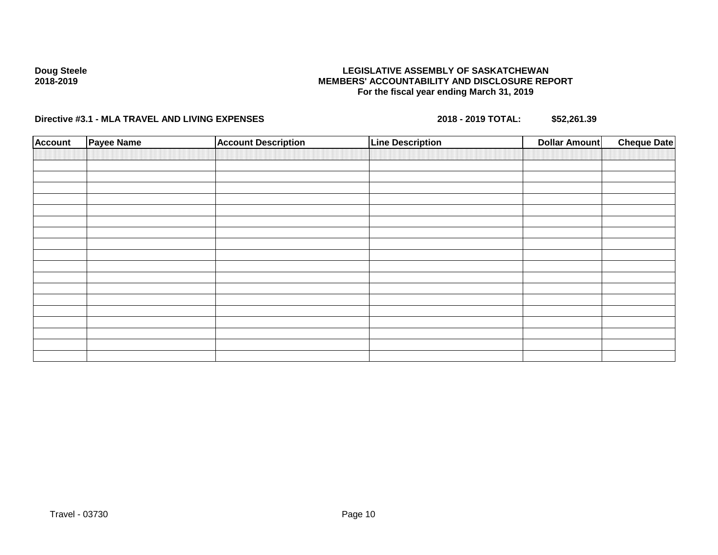## **LEGISLATIVE ASSEMBLY OF SASKATCHEWAN MEMBERS' ACCOUNTABILITY AND DISCLOSURE REPORT For the fiscal year ending March 31, 2019**

| <b>Account</b> | Payee Name | <b>Account Description</b> | <b>Line Description</b> | <b>Dollar Amount</b> | <b>Cheque Date</b> |
|----------------|------------|----------------------------|-------------------------|----------------------|--------------------|
|                |            |                            |                         |                      |                    |
|                |            |                            |                         |                      |                    |
|                |            |                            |                         |                      |                    |
|                |            |                            |                         |                      |                    |
|                |            |                            |                         |                      |                    |
|                |            |                            |                         |                      |                    |
|                |            |                            |                         |                      |                    |
|                |            |                            |                         |                      |                    |
|                |            |                            |                         |                      |                    |
|                |            |                            |                         |                      |                    |
|                |            |                            |                         |                      |                    |
|                |            |                            |                         |                      |                    |
|                |            |                            |                         |                      |                    |
|                |            |                            |                         |                      |                    |
|                |            |                            |                         |                      |                    |
|                |            |                            |                         |                      |                    |
|                |            |                            |                         |                      |                    |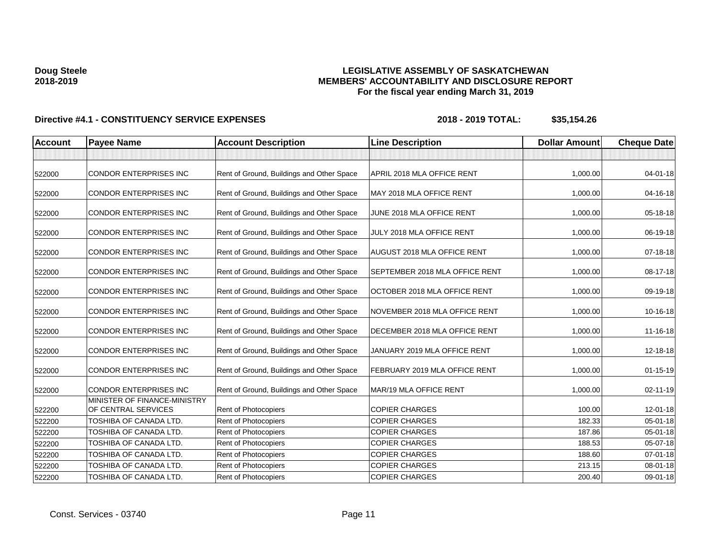## **LEGISLATIVE ASSEMBLY OF SASKATCHEWAN MEMBERS' ACCOUNTABILITY AND DISCLOSURE REPORT For the fiscal year ending March 31, 2019**

| <b>Account</b> | <b>Payee Name</b>                                             | <b>Account Description</b>                | <b>Line Description</b>               | <b>Dollar Amount</b> | <b>Cheque Date</b> |
|----------------|---------------------------------------------------------------|-------------------------------------------|---------------------------------------|----------------------|--------------------|
|                |                                                               |                                           |                                       |                      |                    |
| 522000         | <b>CONDOR ENTERPRISES INC</b>                                 | Rent of Ground, Buildings and Other Space | APRIL 2018 MLA OFFICE RENT            | 1,000.00             | 04-01-18           |
| 522000         | <b>CONDOR ENTERPRISES INC</b>                                 | Rent of Ground, Buildings and Other Space | MAY 2018 MLA OFFICE RENT              | 1,000.00             | 04-16-18           |
| 522000         | <b>CONDOR ENTERPRISES INC</b>                                 | Rent of Ground, Buildings and Other Space | JUNE 2018 MLA OFFICE RENT             | 1,000.00             | 05-18-18           |
| 522000         | <b>CONDOR ENTERPRISES INC</b>                                 | Rent of Ground, Buildings and Other Space | JULY 2018 MLA OFFICE RENT             | 1,000.00             | 06-19-18           |
| 522000         | <b>CONDOR ENTERPRISES INC</b>                                 | Rent of Ground, Buildings and Other Space | AUGUST 2018 MLA OFFICE RENT           | 1,000.00             | 07-18-18           |
| 522000         | <b>CONDOR ENTERPRISES INC</b>                                 | Rent of Ground, Buildings and Other Space | <b>SEPTEMBER 2018 MLA OFFICE RENT</b> | 1,000.00             | 08-17-18           |
| 522000         | CONDOR ENTERPRISES INC                                        | Rent of Ground, Buildings and Other Space | OCTOBER 2018 MLA OFFICE RENT          | 1,000.00             | 09-19-18           |
| 522000         | <b>CONDOR ENTERPRISES INC</b>                                 | Rent of Ground, Buildings and Other Space | NOVEMBER 2018 MLA OFFICE RENT         | 1,000.00             | 10-16-18           |
| 522000         | <b>CONDOR ENTERPRISES INC</b>                                 | Rent of Ground, Buildings and Other Space | DECEMBER 2018 MLA OFFICE RENT         | 1,000.00             | 11-16-18           |
| 522000         | <b>CONDOR ENTERPRISES INC</b>                                 | Rent of Ground, Buildings and Other Space | JANUARY 2019 MLA OFFICE RENT          | 1,000.00             | 12-18-18           |
| 522000         | <b>CONDOR ENTERPRISES INC</b>                                 | Rent of Ground, Buildings and Other Space | FEBRUARY 2019 MLA OFFICE RENT         | 1,000.00             | $01 - 15 - 19$     |
| 522000         | <b>CONDOR ENTERPRISES INC</b><br>MINISTER OF FINANCE-MINISTRY | Rent of Ground, Buildings and Other Space | MAR/19 MLA OFFICE RENT                | 1,000.00             | 02-11-19           |
| 522200         | OF CENTRAL SERVICES                                           | Rent of Photocopiers                      | <b>COPIER CHARGES</b>                 | 100.00               | 12-01-18           |
| 522200         | TOSHIBA OF CANADA LTD.                                        | Rent of Photocopiers                      | <b>COPIER CHARGES</b>                 | 182.33               | $05 - 01 - 18$     |
| 522200         | TOSHIBA OF CANADA LTD.                                        | <b>Rent of Photocopiers</b>               | <b>COPIER CHARGES</b>                 | 187.86               | 05-01-18           |
| 522200         | TOSHIBA OF CANADA LTD.                                        | Rent of Photocopiers                      | <b>COPIER CHARGES</b>                 | 188.53               | 05-07-18           |
| 522200         | <b>TOSHIBA OF CANADA LTD.</b>                                 | Rent of Photocopiers                      | <b>COPIER CHARGES</b>                 | 188.60               | $07 - 01 - 18$     |
| 522200         | TOSHIBA OF CANADA LTD.                                        | Rent of Photocopiers                      | <b>COPIER CHARGES</b>                 | 213.15               | 08-01-18           |
| 522200         | TOSHIBA OF CANADA LTD.                                        | Rent of Photocopiers                      | <b>COPIER CHARGES</b>                 | 200.40               | 09-01-18           |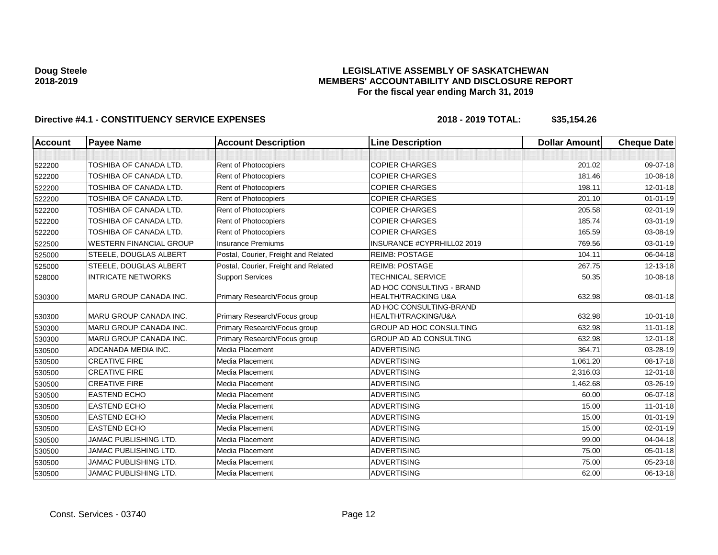## **LEGISLATIVE ASSEMBLY OF SASKATCHEWAN MEMBERS' ACCOUNTABILITY AND DISCLOSURE REPORT For the fiscal year ending March 31, 2019**

| <b>Account</b> | <b>Payee Name</b>              | <b>Account Description</b>           | <b>Line Description</b>                                     | <b>Dollar Amount</b> | <b>Cheque Date</b> |
|----------------|--------------------------------|--------------------------------------|-------------------------------------------------------------|----------------------|--------------------|
|                |                                |                                      |                                                             |                      |                    |
| 522200         | TOSHIBA OF CANADA LTD.         | Rent of Photocopiers                 | <b>COPIER CHARGES</b>                                       | 201.02               | 09-07-18           |
| 522200         | <b>TOSHIBA OF CANADA LTD.</b>  | <b>Rent of Photocopiers</b>          | <b>COPIER CHARGES</b>                                       | 181.46               | 10-08-18           |
| 522200         | TOSHIBA OF CANADA LTD.         | <b>Rent of Photocopiers</b>          | <b>COPIER CHARGES</b>                                       | 198.11               | 12-01-18           |
| 522200         | TOSHIBA OF CANADA LTD.         | Rent of Photocopiers                 | <b>COPIER CHARGES</b>                                       | 201.10               | $01 - 01 - 19$     |
| 522200         | <b>TOSHIBA OF CANADA LTD.</b>  | Rent of Photocopiers                 | <b>COPIER CHARGES</b>                                       | 205.58               | $02 - 01 - 19$     |
| 522200         | TOSHIBA OF CANADA LTD.         | Rent of Photocopiers                 | <b>COPIER CHARGES</b>                                       | 185.74               | 03-01-19           |
| 522200         | TOSHIBA OF CANADA LTD.         | <b>Rent of Photocopiers</b>          | <b>COPIER CHARGES</b>                                       | 165.59               | 03-08-19           |
| 522500         | <b>WESTERN FINANCIAL GROUP</b> | <b>Insurance Premiums</b>            | INSURANCE #CYPRHILL02 2019                                  | 769.56               | 03-01-19           |
| 525000         | STEELE, DOUGLAS ALBERT         | Postal, Courier, Freight and Related | <b>REIMB: POSTAGE</b>                                       | 104.11               | 06-04-18           |
| 525000         | STEELE, DOUGLAS ALBERT         | Postal, Courier, Freight and Related | <b>REIMB: POSTAGE</b>                                       | 267.75               | 12-13-18           |
| 528000         | <b>INTRICATE NETWORKS</b>      | <b>Support Services</b>              | <b>TECHNICAL SERVICE</b>                                    | 50.35                | 10-08-18           |
| 530300         | MARU GROUP CANADA INC.         | Primary Research/Focus group         | AD HOC CONSULTING - BRAND<br><b>HEALTH/TRACKING U&amp;A</b> | 632.98               | 08-01-18           |
| 530300         | <b>MARU GROUP CANADA INC.</b>  | Primary Research/Focus group         | AD HOC CONSULTING-BRAND<br>HEALTH/TRACKING/U&A              | 632.98               | $10 - 01 - 18$     |
| 530300         | <b>MARU GROUP CANADA INC.</b>  | Primary Research/Focus group         | GROUP AD HOC CONSULTING                                     | 632.98               | $11-01-18$         |
| 530300         | <b>MARU GROUP CANADA INC.</b>  | Primary Research/Focus group         | GROUP AD AD CONSULTING                                      | 632.98               | 12-01-18           |
| 530500         | ADCANADA MEDIA INC.            | Media Placement                      | <b>ADVERTISING</b>                                          | 364.71               | 03-28-19           |
| 530500         | <b>CREATIVE FIRE</b>           | Media Placement                      | <b>ADVERTISING</b>                                          | 1,061.20             | 08-17-18           |
| 530500         | <b>CREATIVE FIRE</b>           | Media Placement                      | ADVERTISING                                                 | 2,316.03             | 12-01-18           |
| 530500         | <b>CREATIVE FIRE</b>           | Media Placement                      | <b>ADVERTISING</b>                                          | 1,462.68             | 03-26-19           |
| 530500         | <b>EASTEND ECHO</b>            | Media Placement                      | <b>ADVERTISING</b>                                          | 60.00                | 06-07-18           |
| 530500         | <b>EASTEND ECHO</b>            | Media Placement                      | <b>ADVERTISING</b>                                          | 15.00                | $11-01-18$         |
| 530500         | <b>EASTEND ECHO</b>            | Media Placement                      | <b>ADVERTISING</b>                                          | 15.00                | $01 - 01 - 19$     |
| 530500         | <b>EASTEND ECHO</b>            | Media Placement                      | <b>ADVERTISING</b>                                          | 15.00                | 02-01-19           |
| 530500         | <b>JAMAC PUBLISHING LTD.</b>   | Media Placement                      | <b>ADVERTISING</b>                                          | 99.00                | 04-04-18           |
| 530500         | <b>JAMAC PUBLISHING LTD.</b>   | Media Placement                      | <b>ADVERTISING</b>                                          | 75.00                | $05 - 01 - 18$     |
| 530500         | <b>JAMAC PUBLISHING LTD.</b>   | Media Placement                      | <b>ADVERTISING</b>                                          | 75.00                | 05-23-18           |
| 530500         | <b>JAMAC PUBLISHING LTD.</b>   | Media Placement                      | <b>ADVERTISING</b>                                          | 62.00                | 06-13-18           |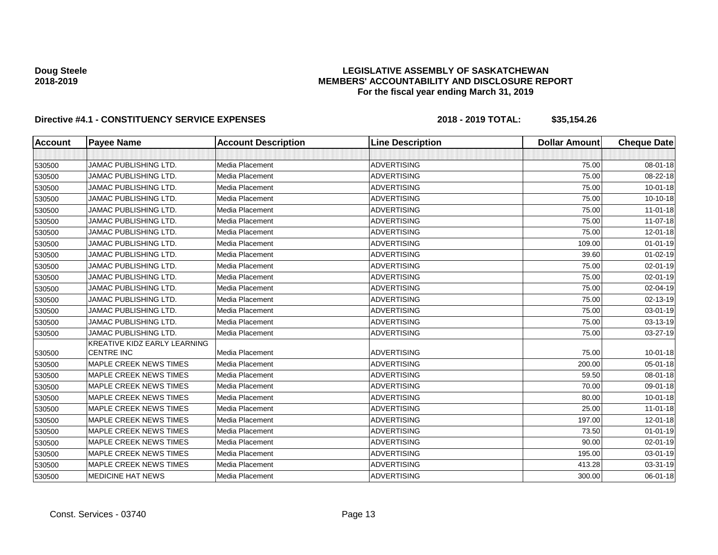## **LEGISLATIVE ASSEMBLY OF SASKATCHEWAN MEMBERS' ACCOUNTABILITY AND DISCLOSURE REPORT For the fiscal year ending March 31, 2019**

| <b>Account</b> | <b>Payee Name</b>                                 | <b>Account Description</b> | <b>Line Description</b> | <b>Dollar Amount</b> | <b>Cheque Date</b> |
|----------------|---------------------------------------------------|----------------------------|-------------------------|----------------------|--------------------|
|                |                                                   |                            |                         |                      |                    |
| 530500         | <b>JAMAC PUBLISHING LTD.</b>                      | Media Placement            | <b>ADVERTISING</b>      | 75.00                | 08-01-18           |
| 530500         | <b>JAMAC PUBLISHING LTD.</b>                      | Media Placement            | <b>ADVERTISING</b>      | 75.00                | 08-22-18           |
| 530500         | <b>JAMAC PUBLISHING LTD.</b>                      | Media Placement            | <b>ADVERTISING</b>      | 75.00                | $10 - 01 - 18$     |
| 530500         | <b>JAMAC PUBLISHING LTD.</b>                      | Media Placement            | <b>ADVERTISING</b>      | 75.00                | 10-10-18           |
| 530500         | <b>JAMAC PUBLISHING LTD.</b>                      | Media Placement            | <b>ADVERTISING</b>      | 75.00                | $11-01-18$         |
| 530500         | <b>JAMAC PUBLISHING LTD.</b>                      | Media Placement            | <b>ADVERTISING</b>      | 75.00                | 11-07-18           |
| 530500         | <b>JAMAC PUBLISHING LTD.</b>                      | Media Placement            | <b>ADVERTISING</b>      | 75.00                | 12-01-18           |
| 530500         | <b>JAMAC PUBLISHING LTD.</b>                      | Media Placement            | <b>ADVERTISING</b>      | 109.00               | $01 - 01 - 19$     |
| 530500         | <b>JAMAC PUBLISHING LTD.</b>                      | Media Placement            | <b>ADVERTISING</b>      | 39.60                | $01-02-19$         |
| 530500         | <b>JAMAC PUBLISHING LTD.</b>                      | Media Placement            | <b>ADVERTISING</b>      | 75.00                | 02-01-19           |
| 530500         | <b>JAMAC PUBLISHING LTD.</b>                      | Media Placement            | <b>ADVERTISING</b>      | 75.00                | 02-01-19           |
| 530500         | JAMAC PUBLISHING LTD.                             | Media Placement            | <b>ADVERTISING</b>      | 75.00                | 02-04-19           |
| 530500         | <b>JAMAC PUBLISHING LTD.</b>                      | Media Placement            | <b>ADVERTISING</b>      | 75.00                | 02-13-19           |
| 530500         | <b>JAMAC PUBLISHING LTD.</b>                      | Media Placement            | <b>ADVERTISING</b>      | 75.00                | 03-01-19           |
| 530500         | <b>JAMAC PUBLISHING LTD.</b>                      | Media Placement            | <b>ADVERTISING</b>      | 75.00                | 03-13-19           |
| 530500         | <b>JAMAC PUBLISHING LTD.</b>                      | Media Placement            | <b>ADVERTISING</b>      | 75.00                | 03-27-19           |
| 530500         | KREATIVE KIDZ EARLY LEARNING<br><b>CENTRE INC</b> | <b>Media Placement</b>     | <b>ADVERTISING</b>      | 75.00                | 10-01-18           |
| 530500         | <b>MAPLE CREEK NEWS TIMES</b>                     | Media Placement            | <b>ADVERTISING</b>      | 200.00               | 05-01-18           |
| 530500         | MAPLE CREEK NEWS TIMES                            | Media Placement            | <b>ADVERTISING</b>      | 59.50                | 08-01-18           |
| 530500         | <b>MAPLE CREEK NEWS TIMES</b>                     | Media Placement            | <b>ADVERTISING</b>      | 70.00                | 09-01-18           |
| 530500         | <b>MAPLE CREEK NEWS TIMES</b>                     | Media Placement            | <b>ADVERTISING</b>      | 80.00                | $10 - 01 - 18$     |
| 530500         | MAPLE CREEK NEWS TIMES                            | Media Placement            | <b>ADVERTISING</b>      | 25.00                | $11 - 01 - 18$     |
| 530500         | MAPLE CREEK NEWS TIMES                            | Media Placement            | <b>ADVERTISING</b>      | 197.00               | 12-01-18           |
| 530500         | MAPLE CREEK NEWS TIMES                            | Media Placement            | <b>ADVERTISING</b>      | 73.50                | $01 - 01 - 19$     |
| 530500         | <b>MAPLE CREEK NEWS TIMES</b>                     | Media Placement            | <b>ADVERTISING</b>      | 90.00                | 02-01-19           |
| 530500         | MAPLE CREEK NEWS TIMES                            | Media Placement            | <b>ADVERTISING</b>      | 195.00               | 03-01-19           |
| 530500         | <b>MAPLE CREEK NEWS TIMES</b>                     | Media Placement            | <b>ADVERTISING</b>      | 413.28               | 03-31-19           |
| 530500         | <b>MEDICINE HAT NEWS</b>                          | Media Placement            | <b>ADVERTISING</b>      | 300.00               | 06-01-18           |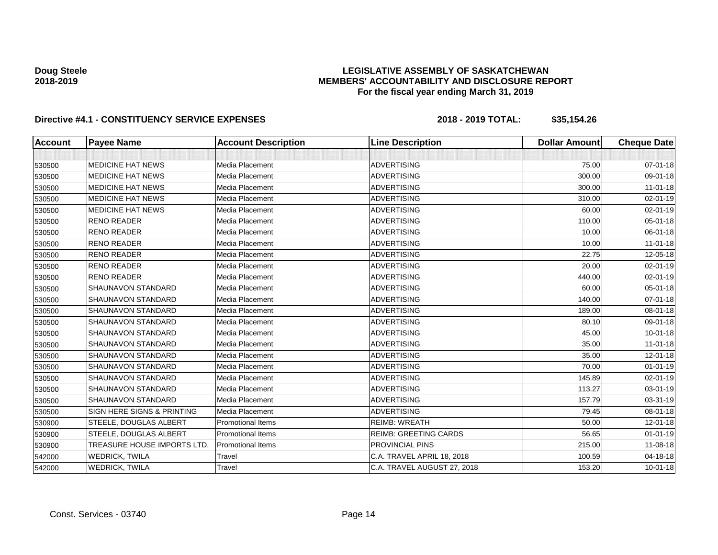## **LEGISLATIVE ASSEMBLY OF SASKATCHEWAN MEMBERS' ACCOUNTABILITY AND DISCLOSURE REPORT For the fiscal year ending March 31, 2019**

| <b>Account</b> | <b>Payee Name</b>           | <b>Account Description</b> | <b>Line Description</b>      | <b>Dollar Amount</b> | <b>Cheque Date</b> |
|----------------|-----------------------------|----------------------------|------------------------------|----------------------|--------------------|
|                |                             |                            |                              |                      |                    |
| 530500         | <b>MEDICINE HAT NEWS</b>    | Media Placement            | <b>ADVERTISING</b>           | 75.00                | $07 - 01 - 18$     |
| 530500         | <b>MEDICINE HAT NEWS</b>    | Media Placement            | <b>ADVERTISING</b>           | 300.00               | 09-01-18           |
| 530500         | <b>MEDICINE HAT NEWS</b>    | Media Placement            | <b>ADVERTISING</b>           | 300.00               | $11-01-18$         |
| 530500         | <b>MEDICINE HAT NEWS</b>    | Media Placement            | <b>ADVERTISING</b>           | 310.00               | $02 - 01 - 19$     |
| 530500         | <b>MEDICINE HAT NEWS</b>    | Media Placement            | <b>ADVERTISING</b>           | 60.00                | 02-01-19           |
| 530500         | <b>RENO READER</b>          | Media Placement            | <b>ADVERTISING</b>           | 110.00               | 05-01-18           |
| 530500         | <b>RENO READER</b>          | Media Placement            | <b>ADVERTISING</b>           | 10.00                | 06-01-18           |
| 530500         | <b>RENO READER</b>          | Media Placement            | <b>ADVERTISING</b>           | 10.00                | $11 - 01 - 18$     |
| 530500         | <b>RENO READER</b>          | Media Placement            | <b>ADVERTISING</b>           | 22.75                | 12-05-18           |
| 530500         | <b>RENO READER</b>          | Media Placement            | <b>ADVERTISING</b>           | 20.00                | $02 - 01 - 19$     |
| 530500         | <b>RENO READER</b>          | Media Placement            | <b>ADVERTISING</b>           | 440.00               | 02-01-19           |
| 530500         | SHAUNAVON STANDARD          | Media Placement            | <b>ADVERTISING</b>           | 60.00                | $05 - 01 - 18$     |
| 530500         | <b>SHAUNAVON STANDARD</b>   | Media Placement            | <b>ADVERTISING</b>           | 140.00               | $07 - 01 - 18$     |
| 530500         | SHAUNAVON STANDARD          | Media Placement            | <b>ADVERTISING</b>           | 189.00               | 08-01-18           |
| 530500         | <b>SHAUNAVON STANDARD</b>   | Media Placement            | <b>ADVERTISING</b>           | 80.10                | 09-01-18           |
| 530500         | <b>SHAUNAVON STANDARD</b>   | Media Placement            | <b>ADVERTISING</b>           | 45.00                | 10-01-18           |
| 530500         | <b>SHAUNAVON STANDARD</b>   | Media Placement            | <b>ADVERTISING</b>           | 35.00                | $11-01-18$         |
| 530500         | <b>SHAUNAVON STANDARD</b>   | Media Placement            | <b>ADVERTISING</b>           | 35.00                | $12 - 01 - 18$     |
| 530500         | SHAUNAVON STANDARD          | Media Placement            | <b>ADVERTISING</b>           | 70.00                | $01 - 01 - 19$     |
| 530500         | <b>SHAUNAVON STANDARD</b>   | Media Placement            | <b>ADVERTISING</b>           | 145.89               | 02-01-19           |
| 530500         | <b>SHAUNAVON STANDARD</b>   | Media Placement            | <b>ADVERTISING</b>           | 113.27               | 03-01-19           |
| 530500         | <b>SHAUNAVON STANDARD</b>   | Media Placement            | <b>ADVERTISING</b>           | 157.79               | 03-31-19           |
| 530500         | SIGN HERE SIGNS & PRINTING  | Media Placement            | <b>ADVERTISING</b>           | 79.45                | 08-01-18           |
| 530900         | STEELE, DOUGLAS ALBERT      | <b>Promotional Items</b>   | <b>REIMB: WREATH</b>         | 50.00                | 12-01-18           |
| 530900         | STEELE, DOUGLAS ALBERT      | <b>Promotional Items</b>   | <b>REIMB: GREETING CARDS</b> | 56.65                | $01 - 01 - 19$     |
| 530900         | TREASURE HOUSE IMPORTS LTD. | <b>Promotional Items</b>   | PROVINCIAL PINS              | 215.00               | 11-08-18           |
| 542000         | <b>WEDRICK, TWILA</b>       | Travel                     | C.A. TRAVEL APRIL 18, 2018   | 100.59               | 04-18-18           |
| 542000         | <b>WEDRICK, TWILA</b>       | Travel                     | C.A. TRAVEL AUGUST 27, 2018  | 153.20               | $10 - 01 - 18$     |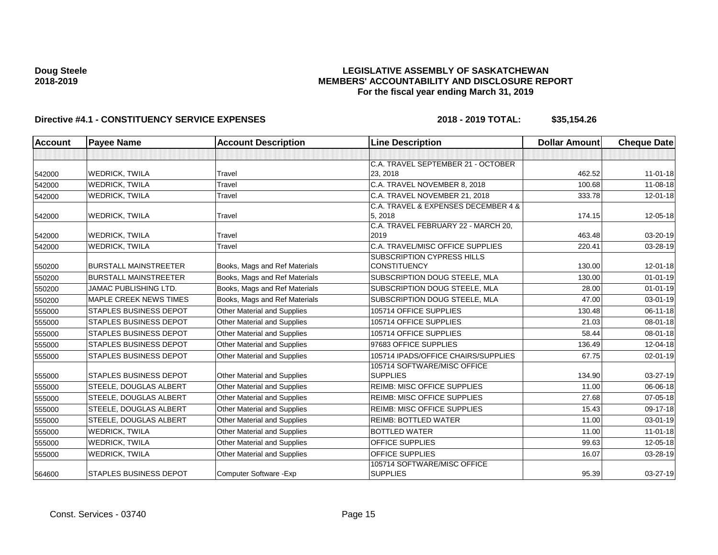## **LEGISLATIVE ASSEMBLY OF SASKATCHEWAN MEMBERS' ACCOUNTABILITY AND DISCLOSURE REPORT For the fiscal year ending March 31, 2019**

| Account | <b>Payee Name</b>             | <b>Account Description</b>         | <b>Line Description</b>             | <b>Dollar Amount</b> | <b>Cheque Date</b> |
|---------|-------------------------------|------------------------------------|-------------------------------------|----------------------|--------------------|
|         |                               |                                    |                                     |                      |                    |
|         |                               |                                    | C.A. TRAVEL SEPTEMBER 21 - OCTOBER  |                      |                    |
| 542000  | <b>WEDRICK, TWILA</b>         | Travel                             | 23, 2018                            | 462.52               | $11-01-18$         |
| 542000  | <b>WEDRICK, TWILA</b>         | Travel                             | C.A. TRAVEL NOVEMBER 8, 2018        | 100.68               | 11-08-18           |
| 542000  | <b>WEDRICK, TWILA</b>         | Travel                             | C.A. TRAVEL NOVEMBER 21, 2018       | 333.78               | $12 - 01 - 18$     |
|         |                               |                                    | C.A. TRAVEL & EXPENSES DECEMBER 4 & |                      |                    |
| 542000  | <b>WEDRICK, TWILA</b>         | Travel                             | 5, 2018                             | 174.15               | 12-05-18           |
|         |                               |                                    | C.A. TRAVEL FEBRUARY 22 - MARCH 20, |                      |                    |
| 542000  | <b>WEDRICK, TWILA</b>         | Travel                             | 2019                                | 463.48               | 03-20-19           |
| 542000  | <b>WEDRICK, TWILA</b>         | Travel                             | C.A. TRAVEL/MISC OFFICE SUPPLIES    | 220.41               | 03-28-19           |
|         |                               |                                    | <b>SUBSCRIPTION CYPRESS HILLS</b>   |                      |                    |
| 550200  | <b>BURSTALL MAINSTREETER</b>  | Books, Mags and Ref Materials      | <b>CONSTITUENCY</b>                 | 130.00               | $12 - 01 - 18$     |
| 550200  | <b>BURSTALL MAINSTREETER</b>  | Books, Mags and Ref Materials      | SUBSCRIPTION DOUG STEELE, MLA       | 130.00               | $01 - 01 - 19$     |
| 550200  | <b>JAMAC PUBLISHING LTD.</b>  | Books, Mags and Ref Materials      | SUBSCRIPTION DOUG STEELE, MLA       | 28.00                | $01 - 01 - 19$     |
| 550200  | <b>MAPLE CREEK NEWS TIMES</b> | Books, Mags and Ref Materials      | SUBSCRIPTION DOUG STEELE, MLA       | 47.00                | $03 - 01 - 19$     |
| 555000  | <b>STAPLES BUSINESS DEPOT</b> | <b>Other Material and Supplies</b> | 105714 OFFICE SUPPLIES              | 130.48               | 06-11-18           |
| 555000  | <b>STAPLES BUSINESS DEPOT</b> | Other Material and Supplies        | 105714 OFFICE SUPPLIES              | 21.03                | $08 - 01 - 18$     |
| 555000  | <b>STAPLES BUSINESS DEPOT</b> | Other Material and Supplies        | 105714 OFFICE SUPPLIES              | 58.44                | $08 - 01 - 18$     |
| 555000  | <b>STAPLES BUSINESS DEPOT</b> | Other Material and Supplies        | 97683 OFFICE SUPPLIES               | 136.49               | 12-04-18           |
| 555000  | <b>STAPLES BUSINESS DEPOT</b> | <b>Other Material and Supplies</b> | 105714 IPADS/OFFICE CHAIRS/SUPPLIES | 67.75                | $02 - 01 - 19$     |
|         |                               |                                    | 105714 SOFTWARE/MISC OFFICE         |                      |                    |
| 555000  | <b>STAPLES BUSINESS DEPOT</b> | Other Material and Supplies        | <b>SUPPLIES</b>                     | 134.90               | 03-27-19           |
| 555000  | <b>STEELE, DOUGLAS ALBERT</b> | Other Material and Supplies        | <b>REIMB: MISC OFFICE SUPPLIES</b>  | 11.00                | 06-06-18           |
| 555000  | STEELE, DOUGLAS ALBERT        | <b>Other Material and Supplies</b> | <b>REIMB: MISC OFFICE SUPPLIES</b>  | 27.68                | 07-05-18           |
| 555000  | STEELE, DOUGLAS ALBERT        | Other Material and Supplies        | REIMB: MISC OFFICE SUPPLIES         | 15.43                | 09-17-18           |
| 555000  | STEELE, DOUGLAS ALBERT        | Other Material and Supplies        | <b>REIMB: BOTTLED WATER</b>         | 11.00                | 03-01-19           |
| 555000  | <b>WEDRICK, TWILA</b>         | Other Material and Supplies        | <b>BOTTLED WATER</b>                | 11.00                | $11-01-18$         |
| 555000  | <b>WEDRICK, TWILA</b>         | Other Material and Supplies        | <b>OFFICE SUPPLIES</b>              | 99.63                | $12 - 05 - 18$     |
| 555000  | <b>WEDRICK, TWILA</b>         | <b>Other Material and Supplies</b> | <b>OFFICE SUPPLIES</b>              | 16.07                | 03-28-19           |
|         |                               |                                    | 105714 SOFTWARE/MISC OFFICE         |                      |                    |
| 564600  | <b>STAPLES BUSINESS DEPOT</b> | Computer Software - Exp            | <b>SUPPLIES</b>                     | 95.39                | 03-27-19           |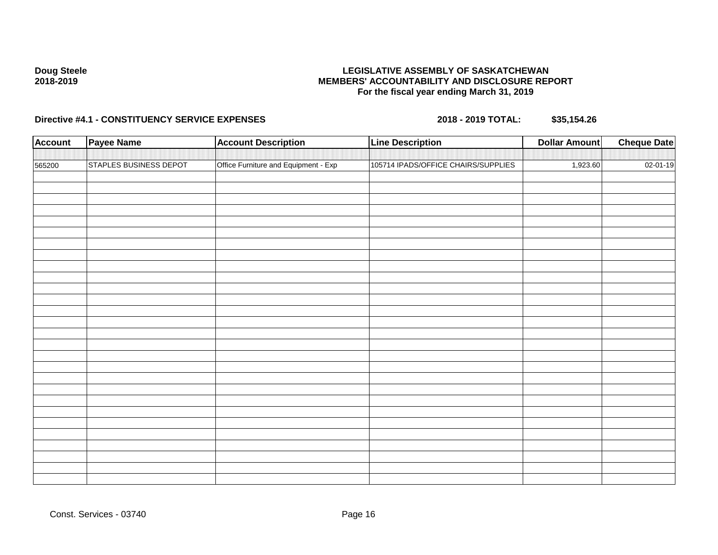## **LEGISLATIVE ASSEMBLY OF SASKATCHEWAN MEMBERS' ACCOUNTABILITY AND DISCLOSURE REPORT For the fiscal year ending March 31, 2019**

| <b>Account</b> | <b>Payee Name</b>             | <b>Account Description</b>           | <b>Line Description</b>             | <b>Dollar Amount</b> | <b>Cheque Date</b> |
|----------------|-------------------------------|--------------------------------------|-------------------------------------|----------------------|--------------------|
|                |                               |                                      |                                     |                      |                    |
| 565200         | <b>STAPLES BUSINESS DEPOT</b> | Office Furniture and Equipment - Exp | 105714 IPADS/OFFICE CHAIRS/SUPPLIES | 1,923.60             | 02-01-19           |
|                |                               |                                      |                                     |                      |                    |
|                |                               |                                      |                                     |                      |                    |
|                |                               |                                      |                                     |                      |                    |
|                |                               |                                      |                                     |                      |                    |
|                |                               |                                      |                                     |                      |                    |
|                |                               |                                      |                                     |                      |                    |
|                |                               |                                      |                                     |                      |                    |
|                |                               |                                      |                                     |                      |                    |
|                |                               |                                      |                                     |                      |                    |
|                |                               |                                      |                                     |                      |                    |
|                |                               |                                      |                                     |                      |                    |
|                |                               |                                      |                                     |                      |                    |
|                |                               |                                      |                                     |                      |                    |
|                |                               |                                      |                                     |                      |                    |
|                |                               |                                      |                                     |                      |                    |
|                |                               |                                      |                                     |                      |                    |
|                |                               |                                      |                                     |                      |                    |
|                |                               |                                      |                                     |                      |                    |
|                |                               |                                      |                                     |                      |                    |
|                |                               |                                      |                                     |                      |                    |
|                |                               |                                      |                                     |                      |                    |
|                |                               |                                      |                                     |                      |                    |
|                |                               |                                      |                                     |                      |                    |
|                |                               |                                      |                                     |                      |                    |
|                |                               |                                      |                                     |                      |                    |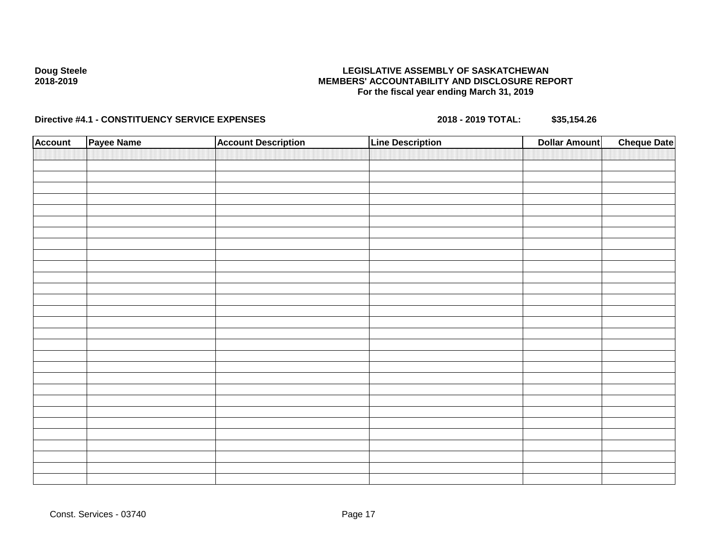## **LEGISLATIVE ASSEMBLY OF SASKATCHEWAN MEMBERS' ACCOUNTABILITY AND DISCLOSURE REPORT For the fiscal year ending March 31, 2019**

| <b>Account</b> | Payee Name | <b>Account Description</b> | <b>Line Description</b> | <b>Cheque Date</b><br><b>Dollar Amount</b> |
|----------------|------------|----------------------------|-------------------------|--------------------------------------------|
|                |            |                            |                         |                                            |
|                |            |                            |                         |                                            |
|                |            |                            |                         |                                            |
|                |            |                            |                         |                                            |
|                |            |                            |                         |                                            |
|                |            |                            |                         |                                            |
|                |            |                            |                         |                                            |
|                |            |                            |                         |                                            |
|                |            |                            |                         |                                            |
|                |            |                            |                         |                                            |
|                |            |                            |                         |                                            |
|                |            |                            |                         |                                            |
|                |            |                            |                         |                                            |
|                |            |                            |                         |                                            |
|                |            |                            |                         |                                            |
|                |            |                            |                         |                                            |
|                |            |                            |                         |                                            |
|                |            |                            |                         |                                            |
|                |            |                            |                         |                                            |
|                |            |                            |                         |                                            |
|                |            |                            |                         |                                            |
|                |            |                            |                         |                                            |
|                |            |                            |                         |                                            |
|                |            |                            |                         |                                            |
|                |            |                            |                         |                                            |
|                |            |                            |                         |                                            |
|                |            |                            |                         |                                            |
|                |            |                            |                         |                                            |
|                |            |                            |                         |                                            |
|                |            |                            |                         |                                            |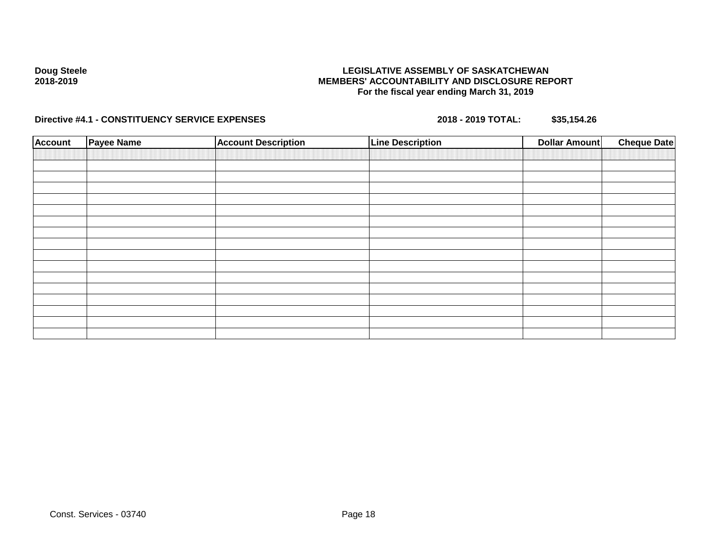## **LEGISLATIVE ASSEMBLY OF SASKATCHEWAN MEMBERS' ACCOUNTABILITY AND DISCLOSURE REPORT For the fiscal year ending March 31, 2019**

| <b>Account</b> | <b>Payee Name</b> | <b>Account Description</b> | <b>Line Description</b> | <b>Dollar Amount</b> | <b>Cheque Date</b> |
|----------------|-------------------|----------------------------|-------------------------|----------------------|--------------------|
|                |                   |                            |                         |                      |                    |
|                |                   |                            |                         |                      |                    |
|                |                   |                            |                         |                      |                    |
|                |                   |                            |                         |                      |                    |
|                |                   |                            |                         |                      |                    |
|                |                   |                            |                         |                      |                    |
|                |                   |                            |                         |                      |                    |
|                |                   |                            |                         |                      |                    |
|                |                   |                            |                         |                      |                    |
|                |                   |                            |                         |                      |                    |
|                |                   |                            |                         |                      |                    |
|                |                   |                            |                         |                      |                    |
|                |                   |                            |                         |                      |                    |
|                |                   |                            |                         |                      |                    |
|                |                   |                            |                         |                      |                    |
|                |                   |                            |                         |                      |                    |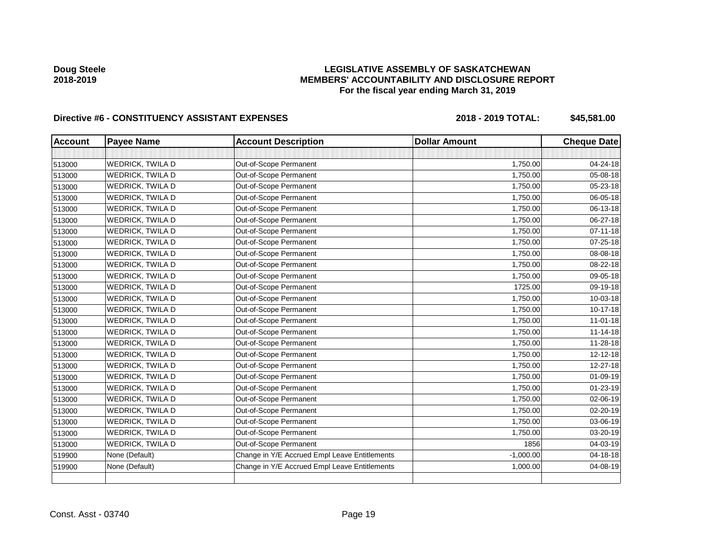## **LEGISLATIVE ASSEMBLY OF SASKATCHEWAN MEMBERS' ACCOUNTABILITY AND DISCLOSURE REPORT For the fiscal year ending March 31, 2019**

| <b>Account</b> | <b>Payee Name</b>       | <b>Account Description</b>                    | <b>Dollar Amount</b> | <b>Cheque Date</b> |
|----------------|-------------------------|-----------------------------------------------|----------------------|--------------------|
|                |                         |                                               |                      |                    |
| 513000         | WEDRICK, TWILA D        | Out-of-Scope Permanent                        | 1,750.00             | 04-24-18           |
| 513000         | <b>WEDRICK, TWILA D</b> | Out-of-Scope Permanent                        | 1,750.00             | 05-08-18           |
| 513000         | WEDRICK, TWILA D        | Out-of-Scope Permanent                        | 1,750.00             | 05-23-18           |
| 513000         | <b>WEDRICK, TWILA D</b> | Out-of-Scope Permanent                        | 1,750.00             | 06-05-18           |
| 513000         | <b>WEDRICK, TWILA D</b> | Out-of-Scope Permanent                        | 1,750.00             | 06-13-18           |
| 513000         | <b>WEDRICK, TWILA D</b> | Out-of-Scope Permanent                        | 1,750.00             | 06-27-18           |
| 513000         | WEDRICK, TWILA D        | Out-of-Scope Permanent                        | 1,750.00             | $07 - 11 - 18$     |
| 513000         | WEDRICK, TWILA D        | Out-of-Scope Permanent                        | 1,750.00             | 07-25-18           |
| 513000         | <b>WEDRICK, TWILA D</b> | Out-of-Scope Permanent                        | 1,750.00             | 08-08-18           |
| 513000         | <b>WEDRICK, TWILA D</b> | Out-of-Scope Permanent                        | 1,750.00             | 08-22-18           |
| 513000         | <b>WEDRICK, TWILA D</b> | Out-of-Scope Permanent                        | 1,750.00             | 09-05-18           |
| 513000         | WEDRICK, TWILA D        | Out-of-Scope Permanent                        | 1725.00              | 09-19-18           |
| 513000         | <b>WEDRICK, TWILA D</b> | Out-of-Scope Permanent                        | 1,750.00             | 10-03-18           |
| 513000         | WEDRICK, TWILA D        | Out-of-Scope Permanent                        | 1,750.00             | 10-17-18           |
| 513000         | WEDRICK, TWILA D        | Out-of-Scope Permanent                        | 1,750.00             | $11 - 01 - 18$     |
| 513000         | WEDRICK, TWILA D        | Out-of-Scope Permanent                        | 1,750.00             | $11 - 14 - 18$     |
| 513000         | WEDRICK, TWILA D        | Out-of-Scope Permanent                        | 1,750.00             | 11-28-18           |
| 513000         | <b>WEDRICK, TWILA D</b> | Out-of-Scope Permanent                        | 1,750.00             | $12 - 12 - 18$     |
| 513000         | WEDRICK, TWILA D        | Out-of-Scope Permanent                        | 1,750.00             | 12-27-18           |
| 513000         | <b>WEDRICK, TWILA D</b> | Out-of-Scope Permanent                        | 1,750.00             | 01-09-19           |
| 513000         | WEDRICK, TWILA D        | Out-of-Scope Permanent                        | 1,750.00             | $01 - 23 - 19$     |
| 513000         | WEDRICK, TWILA D        | Out-of-Scope Permanent                        | 1,750.00             | 02-06-19           |
| 513000         | <b>WEDRICK, TWILA D</b> | Out-of-Scope Permanent                        | 1,750.00             | $02 - 20 - 19$     |
| 513000         | WEDRICK, TWILA D        | Out-of-Scope Permanent                        | 1,750.00             | 03-06-19           |
| 513000         | WEDRICK, TWILA D        | Out-of-Scope Permanent                        | 1,750.00             | 03-20-19           |
| 513000         | WEDRICK, TWILA D        | Out-of-Scope Permanent                        | 1856                 | 04-03-19           |
| 519900         | None (Default)          | Change in Y/E Accrued Empl Leave Entitlements | $-1,000.00$          | 04-18-18           |
| 519900         | None (Default)          | Change in Y/E Accrued Empl Leave Entitlements | 1,000.00             | 04-08-19           |
|                |                         |                                               |                      |                    |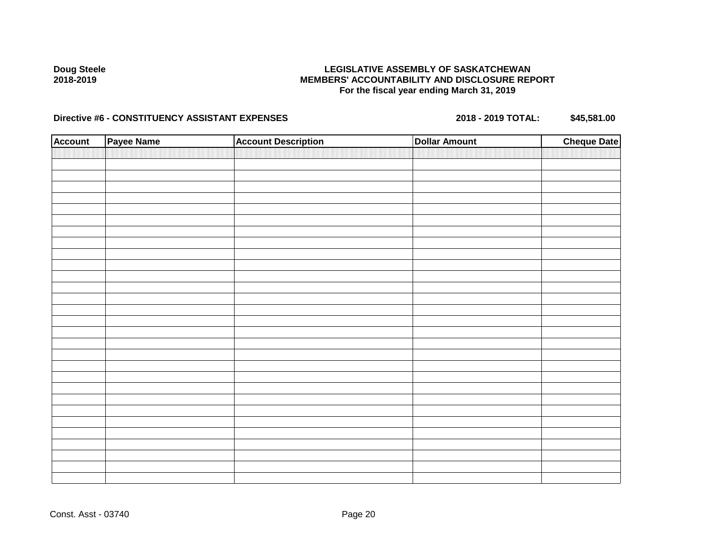## **LEGISLATIVE ASSEMBLY OF SASKATCHEWAN MEMBERS' ACCOUNTABILITY AND DISCLOSURE REPORT For the fiscal year ending March 31, 2019**

| <b>Account</b> | Payee Name | <b>Account Description</b> | <b>Dollar Amount</b> | <b>Cheque Date</b> |
|----------------|------------|----------------------------|----------------------|--------------------|
|                |            |                            |                      |                    |
|                |            |                            |                      |                    |
|                |            |                            |                      |                    |
|                |            |                            |                      |                    |
|                |            |                            |                      |                    |
|                |            |                            |                      |                    |
|                |            |                            |                      |                    |
|                |            |                            |                      |                    |
|                |            |                            |                      |                    |
|                |            |                            |                      |                    |
|                |            |                            |                      |                    |
|                |            |                            |                      |                    |
|                |            |                            |                      |                    |
|                |            |                            |                      |                    |
|                |            |                            |                      |                    |
|                |            |                            |                      |                    |
|                |            |                            |                      |                    |
|                |            |                            |                      |                    |
|                |            |                            |                      |                    |
|                |            |                            |                      |                    |
|                |            |                            |                      |                    |
|                |            |                            |                      |                    |
|                |            |                            |                      |                    |
|                |            |                            |                      |                    |
|                |            |                            |                      |                    |
|                |            |                            |                      |                    |
|                |            |                            |                      |                    |
|                |            |                            |                      |                    |
|                |            |                            |                      |                    |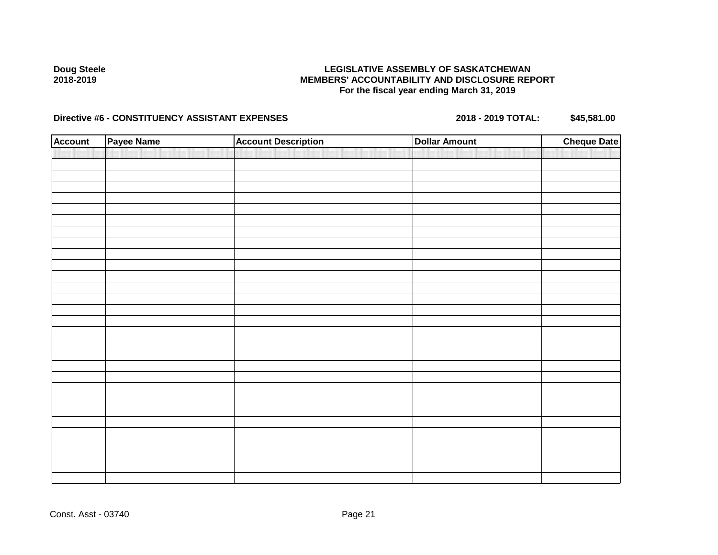## **LEGISLATIVE ASSEMBLY OF SASKATCHEWAN MEMBERS' ACCOUNTABILITY AND DISCLOSURE REPORT For the fiscal year ending March 31, 2019**

| <b>Account</b> | Payee Name | <b>Account Description</b> | <b>Dollar Amount</b> | <b>Cheque Date</b> |
|----------------|------------|----------------------------|----------------------|--------------------|
|                |            |                            |                      |                    |
|                |            |                            |                      |                    |
|                |            |                            |                      |                    |
|                |            |                            |                      |                    |
|                |            |                            |                      |                    |
|                |            |                            |                      |                    |
|                |            |                            |                      |                    |
|                |            |                            |                      |                    |
|                |            |                            |                      |                    |
|                |            |                            |                      |                    |
|                |            |                            |                      |                    |
|                |            |                            |                      |                    |
|                |            |                            |                      |                    |
|                |            |                            |                      |                    |
|                |            |                            |                      |                    |
|                |            |                            |                      |                    |
|                |            |                            |                      |                    |
|                |            |                            |                      |                    |
|                |            |                            |                      |                    |
|                |            |                            |                      |                    |
|                |            |                            |                      |                    |
|                |            |                            |                      |                    |
|                |            |                            |                      |                    |
|                |            |                            |                      |                    |
|                |            |                            |                      |                    |
|                |            |                            |                      |                    |
|                |            |                            |                      |                    |
|                |            |                            |                      |                    |
|                |            |                            |                      |                    |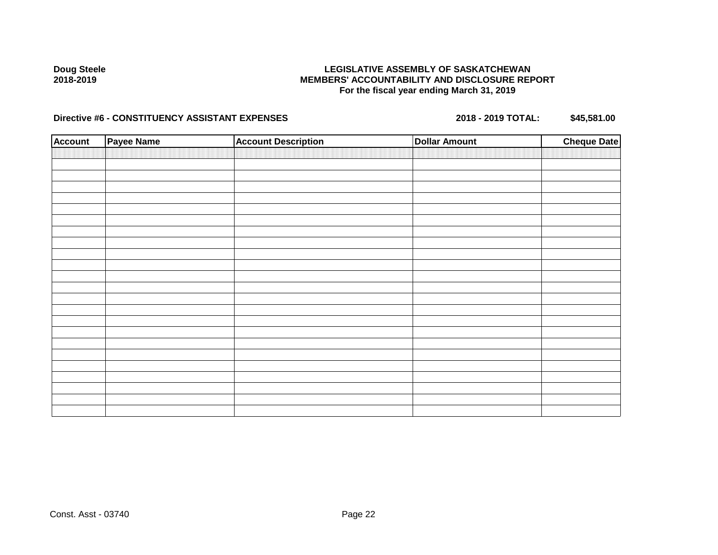## **LEGISLATIVE ASSEMBLY OF SASKATCHEWAN MEMBERS' ACCOUNTABILITY AND DISCLOSURE REPORT For the fiscal year ending March 31, 2019**

| <b>Account</b> | <b>Payee Name</b> | <b>Account Description</b> | <b>Dollar Amount</b> | <b>Cheque Date</b> |
|----------------|-------------------|----------------------------|----------------------|--------------------|
|                |                   |                            |                      |                    |
|                |                   |                            |                      |                    |
|                |                   |                            |                      |                    |
|                |                   |                            |                      |                    |
|                |                   |                            |                      |                    |
|                |                   |                            |                      |                    |
|                |                   |                            |                      |                    |
|                |                   |                            |                      |                    |
|                |                   |                            |                      |                    |
|                |                   |                            |                      |                    |
|                |                   |                            |                      |                    |
|                |                   |                            |                      |                    |
|                |                   |                            |                      |                    |
|                |                   |                            |                      |                    |
|                |                   |                            |                      |                    |
|                |                   |                            |                      |                    |
|                |                   |                            |                      |                    |
|                |                   |                            |                      |                    |
|                |                   |                            |                      |                    |
|                |                   |                            |                      |                    |
|                |                   |                            |                      |                    |
|                |                   |                            |                      |                    |
|                |                   |                            |                      |                    |
|                |                   |                            |                      |                    |